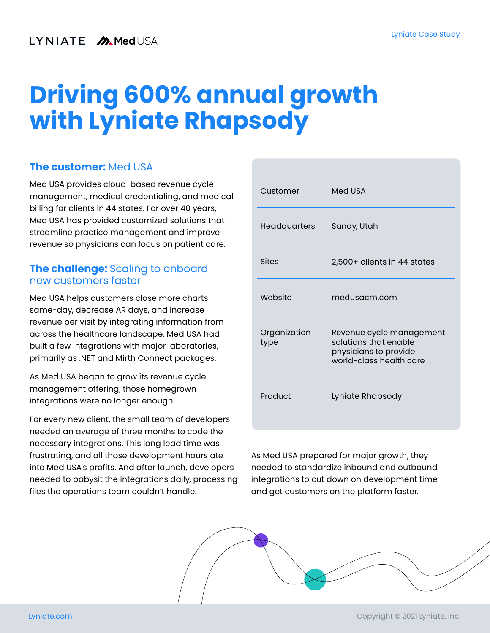# **Driving 600% annual growth with Lyniate Rhapsody**

#### **The customer:** Med USA

Med USA provides cloud-based revenue cycle management, medical credentialing, and medical billing for clients in 44 states. For over 40 years, Med USA has provided customized solutions that streamline practice management and improve revenue so physicians can focus on patient care.

### **The challenge:** Scaling to onboard new customers faster

Med USA helps customers close more charts same-day, decrease AR days, and increase revenue per visit by integrating information from across the healthcare landscape. Med USA had built a few integrations with major laboratories, primarily as .NET and Mirth Connect packages.

As Med USA began to grow its revenue cycle management offering, those homegrown integrations were no longer enough.

For every new client, the small team of developers needed an average of three months to code the necessary integrations. This long lead time was frustrating, and all those development hours ate into Med USA's profits. And after launch, developers needed to babysit the integrations daily, processing files the operations team couldn't handle.

| Customer             | Med USA                                                                                               |
|----------------------|-------------------------------------------------------------------------------------------------------|
| Headquarters         | Sandy, Utah                                                                                           |
| <b>Sites</b>         | 2,500+ clients in 44 states                                                                           |
| Website              | medusacm.com                                                                                          |
| Organization<br>type | Revenue cycle management<br>solutions that enable<br>physicians to provide<br>world-class health care |
| Product              | Lyniate Rhapsody                                                                                      |

As Med USA prepared for major growth, they needed to standardize inbound and outbound integrations to cut down on development time and get customers on the platform faster.

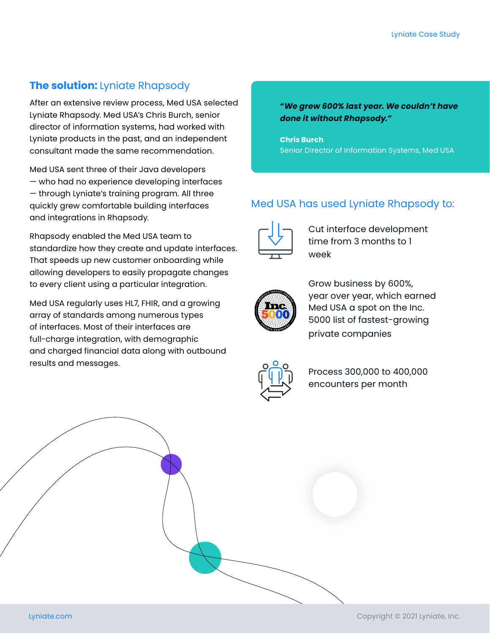#### **The solution:** Lyniate Rhapsody

After an extensive review process, Med USA selected Lyniate Rhapsody. Med USA's Chris Burch, senior director of information systems, had worked with Lyniate products in the past, and an independent consultant made the same recommendation.

Med USA sent three of their Java developers — who had no experience developing interfaces — through Lyniate's training program. All three quickly grew comfortable building interfaces and integrations in Rhapsody.

Rhapsody enabled the Med USA team to standardize how they create and update interfaces. That speeds up new customer onboarding while allowing developers to easily propagate changes to every client using a particular integration.

Med USA regularly uses HL7, FHIR, and a growing array of standards among numerous types of interfaces. Most of their interfaces are full-charge integration, with demographic and charged financial data along with outbound results and messages.

*"We grew 600% last year. We couldn't have done it without Rhapsody."*

**Chris Burch** Senior Director of Information Systems, Med USA

### Med USA has used Lyniate Rhapsody to:



Cut interface development time from 3 months to 1 week



Grow business by 600%, year over year, which earned Med USA a spot on the Inc. 5000 list of fastest-growing private companies



Process 300,000 to 400,000 encounters per month